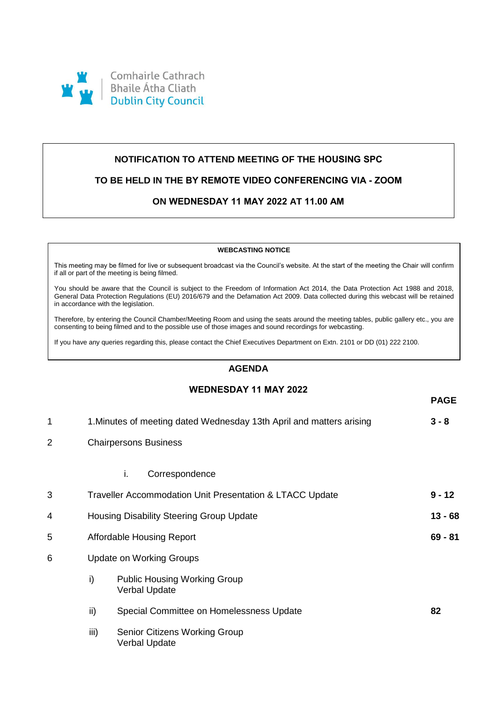

## **NOTIFICATION TO ATTEND MEETING OF THE HOUSING SPC**

## **TO BE HELD IN THE BY REMOTE VIDEO CONFERENCING VIA - ZOOM**

## **ON WEDNESDAY 11 MAY 2022 AT 11.00 AM**

#### **WEBCASTING NOTICE**

This meeting may be filmed for live or subsequent broadcast via the Council's website. At the start of the meeting the Chair will confirm if all or part of the meeting is being filmed.

You should be aware that the Council is subject to the Freedom of Information Act 2014, the Data Protection Act 1988 and 2018, General Data Protection Regulations (EU) 2016/679 and the Defamation Act 2009. Data collected during this webcast will be retained in accordance with the legislation.

Therefore, by entering the Council Chamber/Meeting Room and using the seats around the meeting tables, public gallery etc., you are consenting to being filmed and to the possible use of those images and sound recordings for webcasting.

If you have any queries regarding this, please contact the Chief Executives Department on Extn. 2101 or DD (01) 222 2100.

## **AGENDA**

## **WEDNESDAY 11 MAY 2022**

**PAGE**

| 1              | 1. Minutes of meeting dated Wednesday 13th April and matters arising |                                                                      | $3 - 8$ |  |
|----------------|----------------------------------------------------------------------|----------------------------------------------------------------------|---------|--|
| $\overline{c}$ |                                                                      | <b>Chairpersons Business</b>                                         |         |  |
|                |                                                                      | i.<br>Correspondence                                                 |         |  |
| 3              |                                                                      | $9 - 12$<br>Traveller Accommodation Unit Presentation & LTACC Update |         |  |
| 4              |                                                                      | Housing Disability Steering Group Update                             |         |  |
| 5              |                                                                      | Affordable Housing Report                                            |         |  |
| 6              |                                                                      | <b>Update on Working Groups</b>                                      |         |  |
|                | i)                                                                   | <b>Public Housing Working Group</b><br><b>Verbal Update</b>          |         |  |
|                | ii)                                                                  | Special Committee on Homelessness Update                             | 82      |  |
|                | iii)                                                                 | <b>Senior Citizens Working Group</b><br><b>Verbal Update</b>         |         |  |